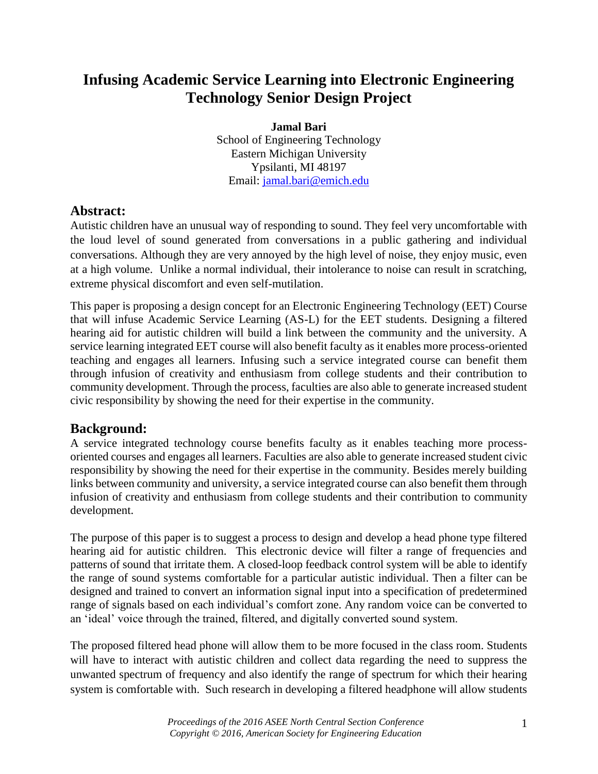# **Infusing Academic Service Learning into Electronic Engineering Technology Senior Design Project**

**Jamal Bari** School of Engineering Technology Eastern Michigan University Ypsilanti, MI 48197 Email: jamal.bari@emich.edu

## **Abstract:**

Autistic children have an unusual way of responding to sound. They feel very uncomfortable with the loud level of sound generated from conversations in a public gathering and individual conversations. Although they are very annoyed by the high level of noise, they enjoy music, even at a high volume. Unlike a normal individual, their intolerance to noise can result in scratching, extreme physical discomfort and even self-mutilation.

This paper is proposing a design concept for an Electronic Engineering Technology (EET) Course that will infuse Academic Service Learning (AS-L) for the EET students. Designing a filtered hearing aid for autistic children will build a link between the community and the university. A service learning integrated EET course will also benefit faculty as it enables more process-oriented teaching and engages all learners. Infusing such a service integrated course can benefit them through infusion of creativity and enthusiasm from college students and their contribution to community development. Through the process, faculties are also able to generate increased student civic responsibility by showing the need for their expertise in the community.

## **Background:**

A service integrated technology course benefits faculty as it enables teaching more processoriented courses and engages all learners. Faculties are also able to generate increased student civic responsibility by showing the need for their expertise in the community. Besides merely building links between community and university, a service integrated course can also benefit them through infusion of creativity and enthusiasm from college students and their contribution to community development.

The purpose of this paper is to suggest a process to design and develop a head phone type filtered hearing aid for autistic children. This electronic device will filter a range of frequencies and patterns of sound that irritate them. A closed-loop feedback control system will be able to identify the range of sound systems comfortable for a particular autistic individual. Then a filter can be designed and trained to convert an information signal input into a specification of predetermined range of signals based on each individual's comfort zone. Any random voice can be converted to an 'ideal' voice through the trained, filtered, and digitally converted sound system.

The proposed filtered head phone will allow them to be more focused in the class room. Students will have to interact with autistic children and collect data regarding the need to suppress the unwanted spectrum of frequency and also identify the range of spectrum for which their hearing system is comfortable with. Such research in developing a filtered headphone will allow students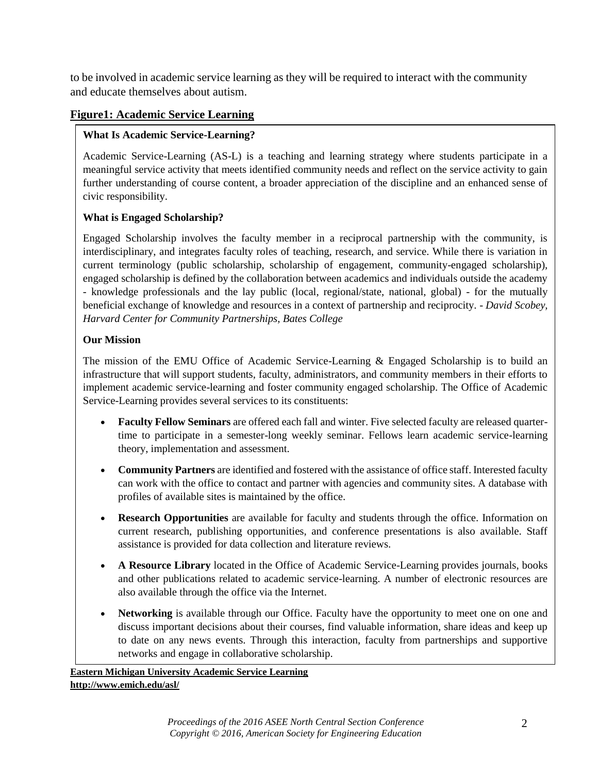to be involved in academic service learning as they will be required to interact with the community and educate themselves about autism.

### **Figure1: Academic Service Learning**

### **What Is Academic Service-Learning?**

Academic Service-Learning (AS-L) is a teaching and learning strategy where students participate in a meaningful service activity that meets identified community needs and reflect on the service activity to gain further understanding of course content, a broader appreciation of the discipline and an enhanced sense of civic responsibility.

### **What is Engaged Scholarship?**

Engaged Scholarship involves the faculty member in a reciprocal partnership with the community, is interdisciplinary, and integrates faculty roles of teaching, research, and service. While there is variation in current terminology (public scholarship, scholarship of engagement, community-engaged scholarship), engaged scholarship is defined by the collaboration between academics and individuals outside the academy - knowledge professionals and the lay public (local, regional/state, national, global) - for the mutually beneficial exchange of knowledge and resources in a context of partnership and reciprocity. - *David Scobey, Harvard Center for Community Partnerships, Bates College* 

#### **Our Mission**

The mission of the EMU Office of Academic Service-Learning & Engaged Scholarship is to build an infrastructure that will support students, faculty, administrators, and community members in their efforts to implement academic service-learning and foster community engaged scholarship. The Office of Academic Service-Learning provides several services to its constituents:

- **Faculty Fellow Seminars** are offered each fall and winter. Five selected faculty are released quartertime to participate in a semester-long weekly seminar. Fellows learn academic service-learning theory, implementation and assessment.
- **Community Partners** are identified and fostered with the assistance of office staff. Interested faculty can work with the office to contact and partner with agencies and community sites. A database with profiles of available sites is maintained by the office.
- **Research Opportunities** are available for faculty and students through the office. Information on current research, publishing opportunities, and conference presentations is also available. Staff assistance is provided for data collection and literature reviews.
- **A Resource Library** located in the Office of Academic Service-Learning provides journals, books and other publications related to academic service-learning. A number of electronic resources are also available through the office via the Internet.
- **Networking** is available through our Office. Faculty have the opportunity to meet one on one and discuss important decisions about their courses, find valuable information, share ideas and keep up to date on any news events. Through this interaction, faculty from partnerships and supportive networks and engage in collaborative scholarship.

**Eastern Michigan University Academic Service Learning http://www.emich.edu/asl/**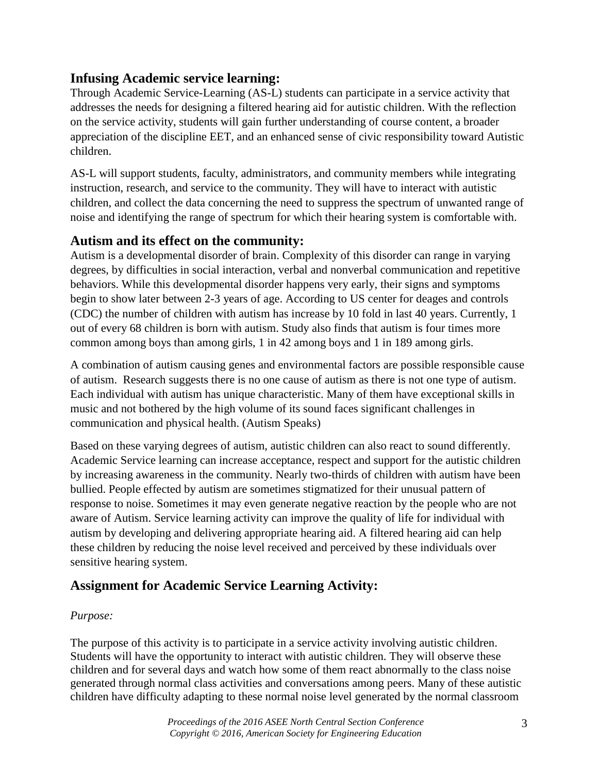## **Infusing Academic service learning:**

Through Academic Service-Learning (AS-L) students can participate in a service activity that addresses the needs for designing a filtered hearing aid for autistic children. With the reflection on the service activity, students will gain further understanding of course content, a broader appreciation of the discipline EET, and an enhanced sense of civic responsibility toward Autistic children.

AS-L will support students, faculty, administrators, and community members while integrating instruction, research, and service to the community. They will have to interact with autistic children, and collect the data concerning the need to suppress the spectrum of unwanted range of noise and identifying the range of spectrum for which their hearing system is comfortable with.

## **Autism and its effect on the community:**

Autism is a developmental disorder of brain. Complexity of this disorder can range in varying degrees, by difficulties in social interaction, verbal and nonverbal communication and repetitive behaviors. While this developmental disorder happens very early, their signs and symptoms begin to show later between 2-3 years of age. According to US center for deages and controls (CDC) the number of children with autism has increase by 10 fold in last 40 years. Currently, 1 out of every 68 children is born with autism. Study also finds that autism is four times more common among boys than among girls, 1 in 42 among boys and 1 in 189 among girls.

A combination of autism causing genes and environmental factors are possible responsible cause of autism. Research suggests there is no one cause of autism as there is not one type of autism. Each individual with autism has unique characteristic. Many of them have exceptional skills in music and not bothered by the high volume of its sound faces significant challenges in communication and physical health. (Autism Speaks)

Based on these varying degrees of autism, autistic children can also react to sound differently. Academic Service learning can increase acceptance, respect and support for the autistic children by increasing awareness in the community. Nearly two-thirds of children with autism have been bullied. People effected by autism are sometimes stigmatized for their unusual pattern of response to noise. Sometimes it may even generate negative reaction by the people who are not aware of Autism. Service learning activity can improve the quality of life for individual with autism by developing and delivering appropriate hearing aid. A filtered hearing aid can help these children by reducing the noise level received and perceived by these individuals over sensitive hearing system.

## **Assignment for Academic Service Learning Activity:**

## *Purpose:*

The purpose of this activity is to participate in a service activity involving autistic children. Students will have the opportunity to interact with autistic children. They will observe these children and for several days and watch how some of them react abnormally to the class noise generated through normal class activities and conversations among peers. Many of these autistic children have difficulty adapting to these normal noise level generated by the normal classroom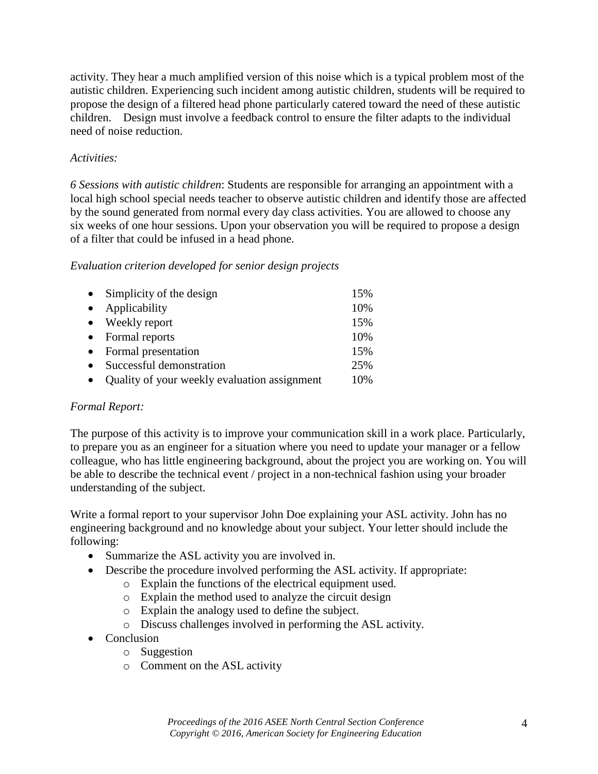activity. They hear a much amplified version of this noise which is a typical problem most of the autistic children. Experiencing such incident among autistic children, students will be required to propose the design of a filtered head phone particularly catered toward the need of these autistic children. Design must involve a feedback control to ensure the filter adapts to the individual need of noise reduction.

### *Activities:*

*6 Sessions with autistic children*: Students are responsible for arranging an appointment with a local high school special needs teacher to observe autistic children and identify those are affected by the sound generated from normal every day class activities. You are allowed to choose any six weeks of one hour sessions. Upon your observation you will be required to propose a design of a filter that could be infused in a head phone.

### *Evaluation criterion developed for senior design projects*

| $\bullet$ | Simplicity of the design                     | 15% |
|-----------|----------------------------------------------|-----|
| $\bullet$ | Applicability                                | 10% |
|           | • Weekly report                              | 15% |
|           | • Formal reports                             | 10% |
|           | • Formal presentation                        | 15% |
| $\bullet$ | Successful demonstration                     | 25% |
| $\bullet$ | Quality of your weekly evaluation assignment | 10% |

### *Formal Report:*

The purpose of this activity is to improve your communication skill in a work place. Particularly, to prepare you as an engineer for a situation where you need to update your manager or a fellow colleague, who has little engineering background, about the project you are working on. You will be able to describe the technical event / project in a non-technical fashion using your broader understanding of the subject.

Write a formal report to your supervisor John Doe explaining your ASL activity. John has no engineering background and no knowledge about your subject. Your letter should include the following:

- Summarize the ASL activity you are involved in.
- Describe the procedure involved performing the ASL activity. If appropriate:
	- o Explain the functions of the electrical equipment used.
	- o Explain the method used to analyze the circuit design
	- o Explain the analogy used to define the subject.
	- o Discuss challenges involved in performing the ASL activity.
- Conclusion
	- o Suggestion
	- o Comment on the ASL activity